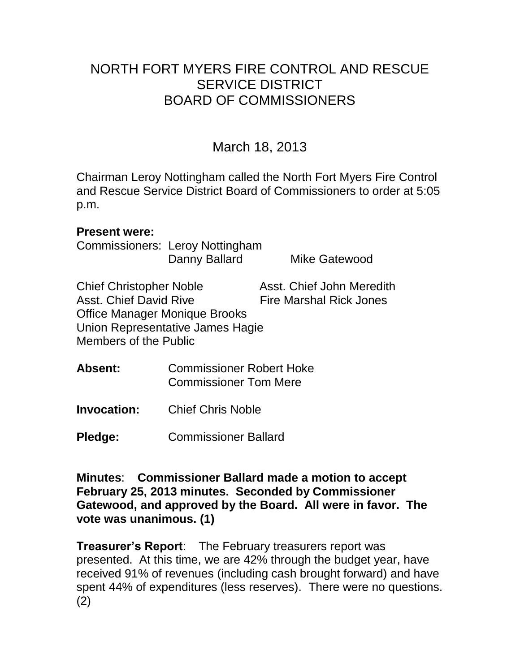# NORTH FORT MYERS FIRE CONTROL AND RESCUE SERVICE DISTRICT BOARD OF COMMISSIONERS

March 18, 2013

Chairman Leroy Nottingham called the North Fort Myers Fire Control and Rescue Service District Board of Commissioners to order at 5:05 p.m.

#### **Present were:**

Commissioners: Leroy Nottingham Danny Ballard Mike Gatewood

Chief Christopher Noble Asst. Chief John Meredith Asst. Chief David Rive Fire Marshal Rick Jones Office Manager Monique Brooks Union Representative James Hagie Members of the Public

- **Absent:** Commissioner Robert Hoke Commissioner Tom Mere
- **Invocation:** Chief Chris Noble

**Pledge:** Commissioner Ballard

**Minutes**: **Commissioner Ballard made a motion to accept February 25, 2013 minutes. Seconded by Commissioner Gatewood, and approved by the Board. All were in favor. The vote was unanimous. (1)** 

**Treasurer's Report**: The February treasurers report was presented. At this time, we are 42% through the budget year, have received 91% of revenues (including cash brought forward) and have spent 44% of expenditures (less reserves). There were no questions. (2)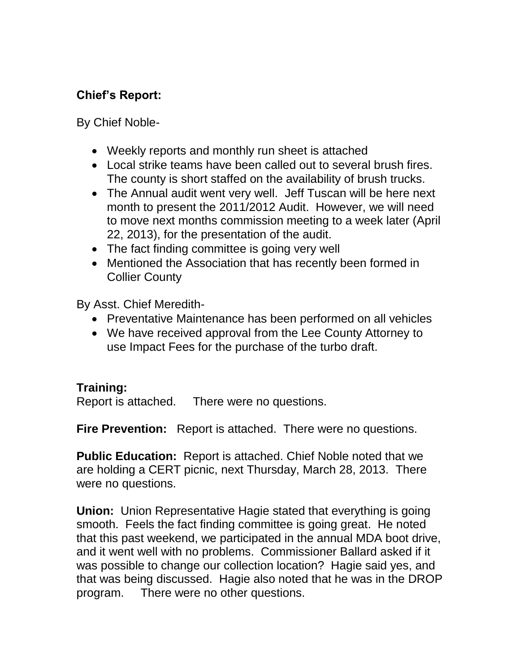## **Chief's Report:**

By Chief Noble-

- Weekly reports and monthly run sheet is attached
- Local strike teams have been called out to several brush fires. The county is short staffed on the availability of brush trucks.
- The Annual audit went very well. Jeff Tuscan will be here next month to present the 2011/2012 Audit. However, we will need to move next months commission meeting to a week later (April 22, 2013), for the presentation of the audit.
- The fact finding committee is going very well
- Mentioned the Association that has recently been formed in Collier County

By Asst. Chief Meredith-

- Preventative Maintenance has been performed on all vehicles
- We have received approval from the Lee County Attorney to use Impact Fees for the purchase of the turbo draft.

## **Training:**

Report is attached. There were no questions.

**Fire Prevention:** Report is attached. There were no questions.

**Public Education:** Report is attached. Chief Noble noted that we are holding a CERT picnic, next Thursday, March 28, 2013. There were no questions.

**Union:** Union Representative Hagie stated that everything is going smooth. Feels the fact finding committee is going great. He noted that this past weekend, we participated in the annual MDA boot drive, and it went well with no problems. Commissioner Ballard asked if it was possible to change our collection location? Hagie said yes, and that was being discussed. Hagie also noted that he was in the DROP program. There were no other questions.